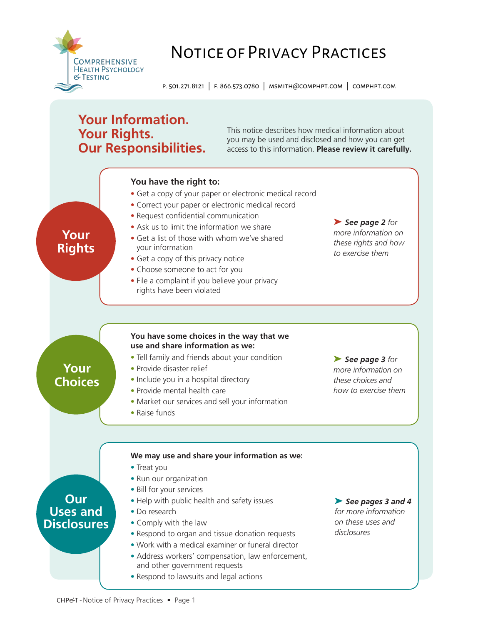

# Notice of Privacy Practices

p. 501.271.8121 | f. 866.573.0780 | msmith@comphpt.com | comphpt.com

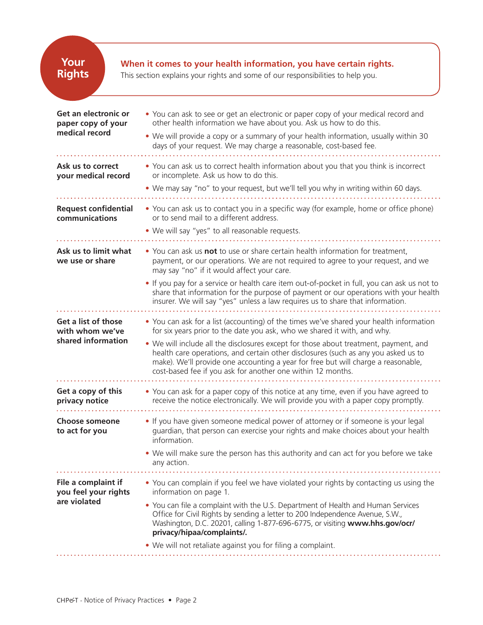| Your<br><b>Rights</b>                                        | When it comes to your health information, you have certain rights.<br>This section explains your rights and some of our responsibilities to help you.                                                                                                                                                                                                                                                                                                                                                                                                                                   |
|--------------------------------------------------------------|-----------------------------------------------------------------------------------------------------------------------------------------------------------------------------------------------------------------------------------------------------------------------------------------------------------------------------------------------------------------------------------------------------------------------------------------------------------------------------------------------------------------------------------------------------------------------------------------|
| Get an electronic or<br>paper copy of your<br>medical record | • You can ask to see or get an electronic or paper copy of your medical record and<br>other health information we have about you. Ask us how to do this.<br>• We will provide a copy or a summary of your health information, usually within 30<br>days of your request. We may charge a reasonable, cost-based fee.                                                                                                                                                                                                                                                                    |
| Ask us to correct<br>your medical record                     | • You can ask us to correct health information about you that you think is incorrect<br>or incomplete. Ask us how to do this.                                                                                                                                                                                                                                                                                                                                                                                                                                                           |
| <b>Request confidential</b><br>communications                | . We may say "no" to your request, but we'll tell you why in writing within 60 days.<br>• You can ask us to contact you in a specific way (for example, home or office phone)<br>or to send mail to a different address.<br>• We will say "yes" to all reasonable requests.                                                                                                                                                                                                                                                                                                             |
| Ask us to limit what<br>we use or share                      | • You can ask us <b>not</b> to use or share certain health information for treatment,<br>payment, or our operations. We are not required to agree to your request, and we<br>may say "no" if it would affect your care.<br>. If you pay for a service or health care item out-of-pocket in full, you can ask us not to<br>share that information for the purpose of payment or our operations with your health                                                                                                                                                                          |
| Get a list of those<br>with whom we've<br>shared information | insurer. We will say "yes" unless a law requires us to share that information.<br>• You can ask for a list (accounting) of the times we've shared your health information<br>for six years prior to the date you ask, who we shared it with, and why.<br>• We will include all the disclosures except for those about treatment, payment, and<br>health care operations, and certain other disclosures (such as any you asked us to<br>make). We'll provide one accounting a year for free but will charge a reasonable,<br>cost-based fee if you ask for another one within 12 months. |
| Get a copy of this<br>privacy notice                         | • You can ask for a paper copy of this notice at any time, even if you have agreed to<br>receive the notice electronically. We will provide you with a paper copy promptly.                                                                                                                                                                                                                                                                                                                                                                                                             |
| <b>Choose someone</b><br>to act for you                      | . If you have given someone medical power of attorney or if someone is your legal<br>guardian, that person can exercise your rights and make choices about your health<br>information.<br>• We will make sure the person has this authority and can act for you before we take<br>any action.                                                                                                                                                                                                                                                                                           |
| File a complaint if<br>you feel your rights<br>are violated  | . You can complain if you feel we have violated your rights by contacting us using the<br>information on page 1.<br>• You can file a complaint with the U.S. Department of Health and Human Services<br>Office for Civil Rights by sending a letter to 200 Independence Avenue, S.W.,<br>Washington, D.C. 20201, calling 1-877-696-6775, or visiting www.hhs.gov/ocr/<br>privacy/hipaa/complaints/.                                                                                                                                                                                     |
|                                                              | • We will not retaliate against you for filing a complaint.                                                                                                                                                                                                                                                                                                                                                                                                                                                                                                                             |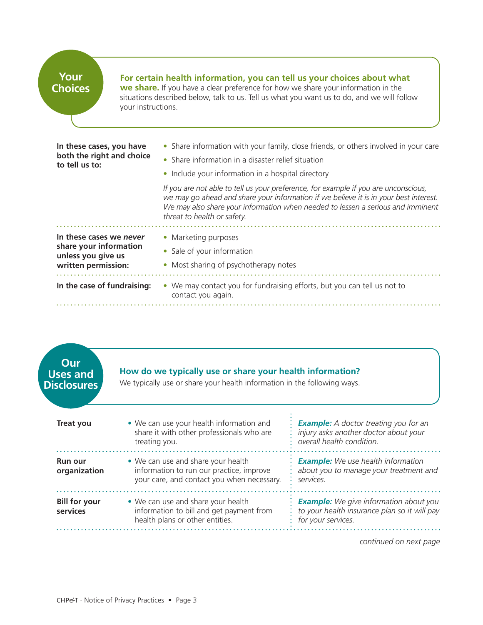# **Your Choices**

#### **For certain health information, you can tell us your choices about what**

**we share.** If you have a clear preference for how we share your information in the situations described below, talk to us. Tell us what you want us to do, and we will follow your instructions.

| In these cases, you have  |
|---------------------------|
| both the right and choice |
| to tell us to:            |

- Share information with your family, close friends, or others involved in your care
- Share information in a disaster relief situation
- Include your information in a hospital directory

*If you are not able to tell us your preference, for example if you are unconscious, we may go ahead and share your information if we believe it is in your best interest. We may also share your information when needed to lessen a serious and imminent threat to health or safety.*

**In these cases we** *never* **share your information unless you give us written permission:**

#### • Marketing purposes

- Sale of your information
- Most sharing of psychotherapy notes
- 
- **In the case of fundraising:** We may contact you for fundraising efforts, but you can tell us not to contact you again.
- **Treat you** We can use your health information and share it with other professionals who are treating you. *Example: A doctor treating you for an injury asks another doctor about your overall health condition.* **Run our organization** • We can use and share your health information to run our practice, improve your care, and contact you when necessary. *Example: We use health information about you to manage your treatment and services.*  **Bill for your services** • We can use and share your health information to bill and get payment from health plans or other entities. *Example: We give information about you to your health insurance plan so it will pay for your services.* **How do we typically use or share your health information?**  We typically use or share your health information in the following ways. **Our Uses and Disclosures**

*continued on next page*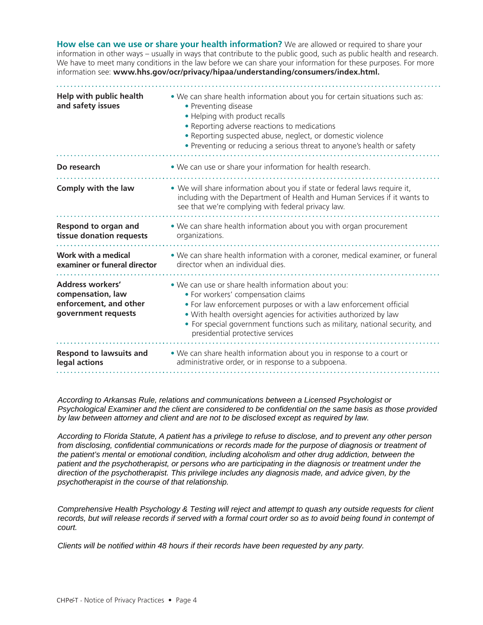**How else can we use or share your health information?** We are allowed or required to share your information in other ways – usually in ways that contribute to the public good, such as public health and research. We have to meet many conditions in the law before we can share your information for these purposes. For more information see: **[www.hhs.gov/ocr/privacy/hipaa/understanding/consumers/index.html.](www.hhs.gov/ocr/privacy/hipaa/understanding/consumers/index.html)**

| Help with public health<br>and safety issues                                           | . We can share health information about you for certain situations such as:<br>• Preventing disease<br>• Helping with product recalls<br>• Reporting adverse reactions to medications<br>• Reporting suspected abuse, neglect, or domestic violence<br>• Preventing or reducing a serious threat to anyone's health or safety                          |
|----------------------------------------------------------------------------------------|--------------------------------------------------------------------------------------------------------------------------------------------------------------------------------------------------------------------------------------------------------------------------------------------------------------------------------------------------------|
| Do research                                                                            | . We can use or share your information for health research.                                                                                                                                                                                                                                                                                            |
| Comply with the law                                                                    | . We will share information about you if state or federal laws require it,<br>including with the Department of Health and Human Services if it wants to<br>see that we're complying with federal privacy law.                                                                                                                                          |
| Respond to organ and<br>tissue donation requests                                       | . We can share health information about you with organ procurement<br>organizations.                                                                                                                                                                                                                                                                   |
| Work with a medical<br>examiner or funeral director                                    | . We can share health information with a coroner, medical examiner, or funeral<br>director when an individual dies.                                                                                                                                                                                                                                    |
| Address workers'<br>compensation, law<br>enforcement, and other<br>government requests | . We can use or share health information about you:<br>• For workers' compensation claims<br>• For law enforcement purposes or with a law enforcement official<br>. With health oversight agencies for activities authorized by law<br>• For special government functions such as military, national security, and<br>presidential protective services |
| <b>Respond to lawsuits and</b><br>legal actions                                        | . We can share health information about you in response to a court or<br>administrative order, or in response to a subpoena.                                                                                                                                                                                                                           |

According to Arkansas Rule, relations and communications between a Licensed Psychologist or Psychological Examiner and the client are considered to be confidential on the same basis as those provided by law between attorney and client and are not to be disclosed except as required by law.

According to Florida Statute, A patient has a privilege to refuse to disclose, and to prevent any other person from disclosing, confidential communications or records made for the purpose of diagnosis or treatment of the patient's mental or emotional condition, including alcoholism and other drug addiction, between the patient and the psychotherapist, or persons who are participating in the diagnosis or treatment under the direction of the psychotherapist. This privilege includes any diagnosis made, and advice given, by the psychotherapist in the course of that relationship.

Comprehensive Health Psychology & Testing will reject and attempt to quash any outside requests for client records, but will release records if served with a formal court order so as to avoid being found in contempt of court.

Clients will be notified within 48 hours if their records have been requested by any party.